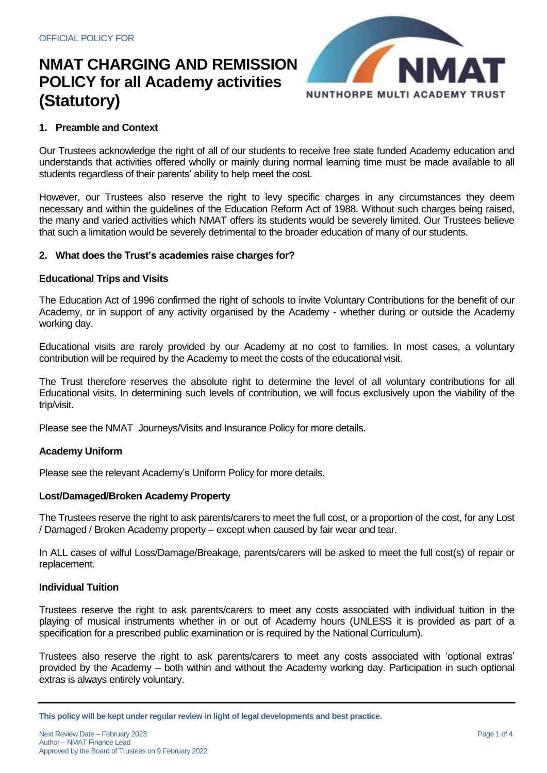

# **1. Preamble and Context**

Our Trustees acknowledge the right of all of our students to receive free state funded Academy education and understands that activities offered wholly or mainly during normal learning time must be made available to all students regardless of their parents' ability to help meet the cost.

However, our Trustees also reserve the right to levy specific charges in any circumstances they deem necessary and within the guidelines of the Education Reform Act of 1988. Without such charges being raised, the many and varied activities which NMAT offers its students would be severely limited. Our Trustees believe that such a limitation would be severely detrimental to the broader education of many of our students.

## **2. What does the Trust's academies raise charges for?**

## **Educational Trips and Visits**

The Education Act of 1996 confirmed the right of schools to invite Voluntary Contributions for the benefit of our Academy, or in support of any activity organised by the Academy - whether during or outside the Academy working day.

Educational visits are rarely provided by our Academy at no cost to families. In most cases, a voluntary contribution will be required by the Academy to meet the costs of the educational visit.

The Trust therefore reserves the absolute right to determine the level of all voluntary contributions for all Educational visits. In determining such levels of contribution, we will focus exclusively upon the viability of the trip/visit.

Please see the NMAT Journeys/Visits and Insurance Policy for more details.

#### **Academy Uniform**

Please see the relevant Academy's Uniform Policy for more details.

#### **Lost/Damaged/Broken Academy Property**

The Trustees reserve the right to ask parents/carers to meet the full cost, or a proportion of the cost, for any Lost / Damaged / Broken Academy property – except when caused by fair wear and tear.

In ALL cases of wilful Loss/Damage/Breakage, parents/carers will be asked to meet the full cost(s) of repair or replacement.

## **Individual Tuition**

Trustees reserve the right to ask parents/carers to meet any costs associated with individual tuition in the playing of musical instruments whether in or out of Academy hours (UNLESS it is provided as part of a specification for a prescribed public examination or is required by the National Curriculum).

Trustees also reserve the right to ask parents/carers to meet any costs associated with 'optional extras' provided by the Academy – both within and without the Academy working day. Participation in such optional extras is always entirely voluntary.

**This policy will be kept under regular review in light of legal developments and best practice.**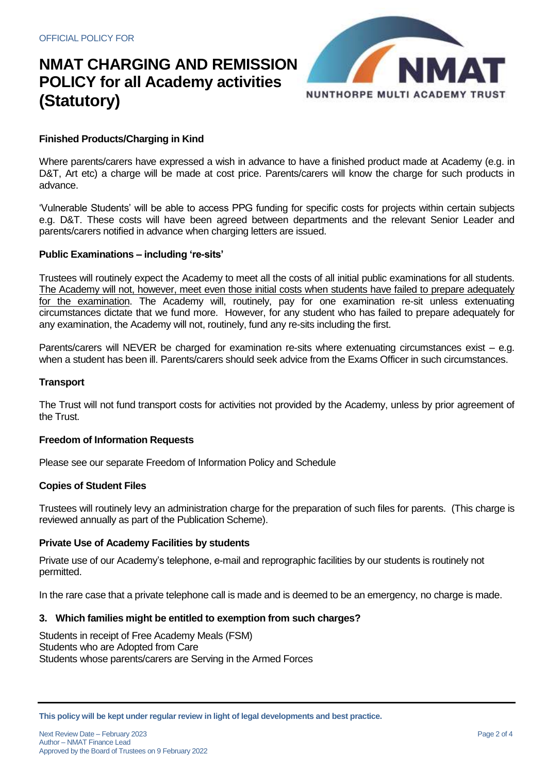

# **Finished Products/Charging in Kind**

Where parents/carers have expressed a wish in advance to have a finished product made at Academy (e.g. in D&T, Art etc) a charge will be made at cost price. Parents/carers will know the charge for such products in advance.

'Vulnerable Students' will be able to access PPG funding for specific costs for projects within certain subjects e.g. D&T. These costs will have been agreed between departments and the relevant Senior Leader and parents/carers notified in advance when charging letters are issued.

## **Public Examinations – including 're-sits'**

Trustees will routinely expect the Academy to meet all the costs of all initial public examinations for all students. The Academy will not, however, meet even those initial costs when students have failed to prepare adequately for the examination. The Academy will, routinely, pay for one examination re-sit unless extenuating circumstances dictate that we fund more. However, for any student who has failed to prepare adequately for any examination, the Academy will not, routinely, fund any re-sits including the first.

Parents/carers will NEVER be charged for examination re-sits where extenuating circumstances exist – e.g. when a student has been ill. Parents/carers should seek advice from the Exams Officer in such circumstances.

### **Transport**

The Trust will not fund transport costs for activities not provided by the Academy, unless by prior agreement of the Trust.

#### **Freedom of Information Requests**

Please see our separate Freedom of Information Policy and Schedule

#### **Copies of Student Files**

Trustees will routinely levy an administration charge for the preparation of such files for parents. (This charge is reviewed annually as part of the Publication Scheme).

#### **Private Use of Academy Facilities by students**

Private use of our Academy's telephone, e-mail and reprographic facilities by our students is routinely not permitted.

In the rare case that a private telephone call is made and is deemed to be an emergency, no charge is made.

#### **3. Which families might be entitled to exemption from such charges?**

Students in receipt of Free Academy Meals (FSM) Students who are Adopted from Care Students whose parents/carers are Serving in the Armed Forces

**This policy will be kept under regular review in light of legal developments and best practice.**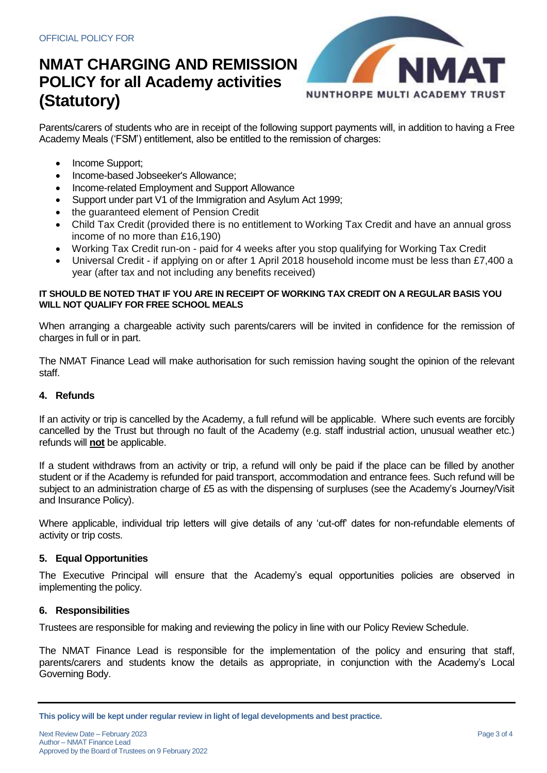

Parents/carers of students who are in receipt of the following support payments will, in addition to having a Free Academy Meals ('FSM') entitlement, also be entitled to the remission of charges:

- Income Support;
- Income-based Jobseeker's Allowance;
- Income-related Employment and Support Allowance
- Support under part V1 of the Immigration and Asylum Act 1999;
- the guaranteed element of Pension Credit
- Child Tax Credit (provided there is no entitlement to Working Tax Credit and have an annual gross income of no more than £16,190)
- Working Tax Credit run-on paid for 4 weeks after you stop qualifying for Working Tax Credit
- Universal Credit if applying on or after 1 April 2018 household income must be less than £7,400 a year (after tax and not including any benefits received)

### **IT SHOULD BE NOTED THAT IF YOU ARE IN RECEIPT OF WORKING TAX CREDIT ON A REGULAR BASIS YOU WILL NOT QUALIFY FOR FREE SCHOOL MEALS**

When arranging a chargeable activity such parents/carers will be invited in confidence for the remission of charges in full or in part.

The NMAT Finance Lead will make authorisation for such remission having sought the opinion of the relevant staff.

## **4. Refunds**

If an activity or trip is cancelled by the Academy, a full refund will be applicable. Where such events are forcibly cancelled by the Trust but through no fault of the Academy (e.g. staff industrial action, unusual weather etc.) refunds will **not** be applicable.

If a student withdraws from an activity or trip, a refund will only be paid if the place can be filled by another student or if the Academy is refunded for paid transport, accommodation and entrance fees. Such refund will be subject to an administration charge of £5 as with the dispensing of surpluses (see the Academy's Journey/Visit and Insurance Policy).

Where applicable, individual trip letters will give details of any 'cut-off' dates for non-refundable elements of activity or trip costs.

## **5. Equal Opportunities**

The Executive Principal will ensure that the Academy's equal opportunities policies are observed in implementing the policy.

## **6. Responsibilities**

Trustees are responsible for making and reviewing the policy in line with our Policy Review Schedule.

The NMAT Finance Lead is responsible for the implementation of the policy and ensuring that staff, parents/carers and students know the details as appropriate, in conjunction with the Academy's Local Governing Body.

**This policy will be kept under regular review in light of legal developments and best practice.**